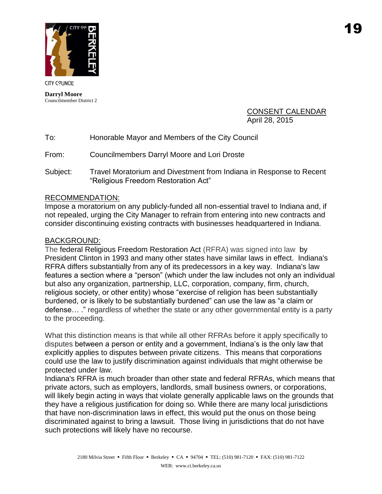

**CITY COUNCIL** 

**Darryl Moore** Councilmember District 2

## CONSENT CALENDAR April 28, 2015

| To: | Honorable Mayor and Members of the City Council |
|-----|-------------------------------------------------|
|-----|-------------------------------------------------|

From: Councilmembers Darryl Moore and Lori Droste

Subject: Travel Moratorium and Divestment from Indiana in Response to Recent "Religious Freedom Restoration Act"

## RECOMMENDATION:

Impose a moratorium on any publicly-funded all non-essential travel to Indiana and, if not repealed, urging the City Manager to refrain from entering into new contracts and consider discontinuing existing contracts with businesses headquartered in Indiana.

## BACKGROUND:

The federal Religious Freedom Restoration Act (RFRA) was signed into law by President Clinton in 1993 and many other states have similar laws in effect. Indiana's RFRA differs substantially from any of its predecessors in a key way. Indiana's law features a section where a "person" (which under the law includes not only an individual but also any organization, partnership, LLC, corporation, company, firm, church, religious society, or other entity) whose "exercise of religion has been substantially burdened, or is likely to be substantially burdened" can use the law as "a claim or defense… ." regardless of whether the state or any other governmental entity is a party to the proceeding.

What this distinction means is that while all other RFRAs before it apply specifically to disputes between a person or entity and a government, Indiana's is the only law that explicitly applies to disputes between private citizens. This means that corporations could use the law to justify discrimination against individuals that might otherwise be protected under law.

Indiana's RFRA is much broader than other state and federal RFRAs, which means that private actors, such as employers, landlords, small business owners, or corporations, will likely begin acting in ways that violate generally applicable laws on the grounds that they have a religious justification for doing so. While there are many local jurisdictions that have non-discrimination laws in effect, this would put the onus on those being discriminated against to bring a lawsuit. Those living in jurisdictions that do not have such protections will likely have no recourse.